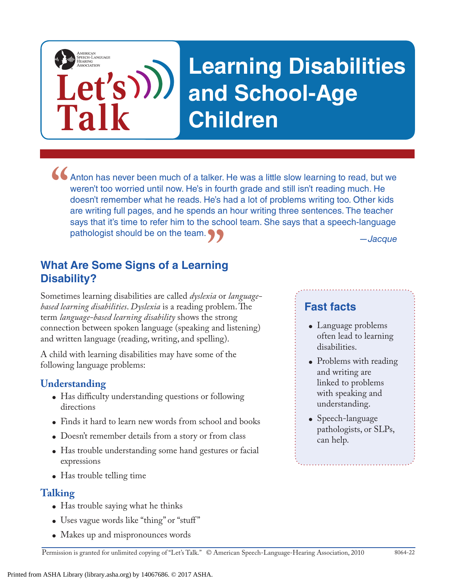# **Learning Disabilities and School-Age Children**

*—Jacque* • Anton has never been much of a talker. He was a little slow learning to read, but we weren't too worried until now. He's in fourth grade and still isn't reading much. He doesn't remember what he reads. He's had a lot of weren't too worried until now. He's in fourth grade and still isn't reading much. He doesn't remember what he reads. He's had a lot of problems writing too. Other kids are writing full pages, and he spends an hour writing three sentences. The teacher says that it's time to refer him to the school team. She says that a speech-language pathologist should be on the team.

**What Are Some Signs of a Learning Disability? "**

**Let's**

**Talk**

AMERICAN<br>SPEECH-LANGUAGE-<br>HEARING

Sometimes learning disabilities are called *dyslexia* or *languagebased learning disabilities*. *Dyslexia* is a reading problem. The term *language-based learning disability* shows the strong connection between spoken language (speaking and listening) and written language (reading, writing, and spelling).

A child with learning disabilities may have some of the following language problems:

#### **Understanding**

- Has difficulty understanding questions or following directions
- Finds it hard to learn new words from school and books
- Doesn't remember details from a story or from class
- Has trouble understanding some hand gestures or facial expressions
- Has trouble telling time

#### **Talking**

- Has trouble saying what he thinks
- Uses vague words like "thing" or "stuff"
- Makes up and mispronounces words

**Fast facts**

- Language problems often lead to learning disabilities.
- Problems with reading and writing are linked to problems with speaking and understanding.
- Speech-language pathologists, or SLPs, can help.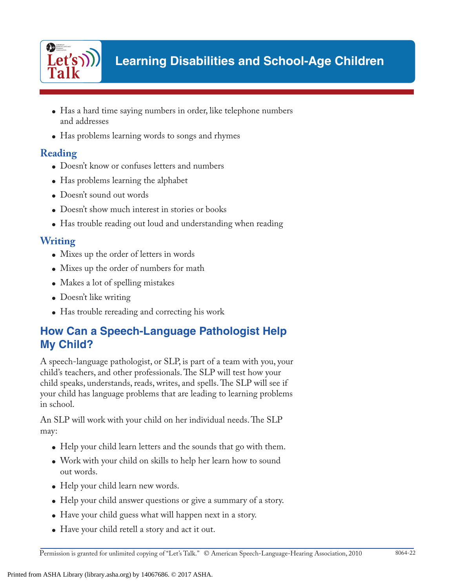

- Has a hard time saying numbers in order, like telephone numbers and addresses
- Has problems learning words to songs and rhymes

## **Reading**

- Doesn't know or confuses letters and numbers
- Has problems learning the alphabet
- Doesn't sound out words
- Doesn't show much interest in stories or books
- Has trouble reading out loud and understanding when reading

### **Writing**

- Mixes up the order of letters in words
- Mixes up the order of numbers for math
- Makes a lot of spelling mistakes
- Doesn't like writing
- Has trouble rereading and correcting his work

# **How Can a Speech-Language Pathologist Help My Child?**

A speech-language pathologist, or SLP, is part of a team with you, your child's teachers, and other professionals. The SLP will test how your child speaks, understands, reads, writes, and spells. The SLP will see if your child has language problems that are leading to learning problems in school.

An SLP will work with your child on her individual needs. The SLP may:

- Help your child learn letters and the sounds that go with them.
- Work with your child on skills to help her learn how to sound out words.
- Help your child learn new words.
- Help your child answer questions or give a summary of a story.
- Have your child guess what will happen next in a story.
- Have your child retell a story and act it out.